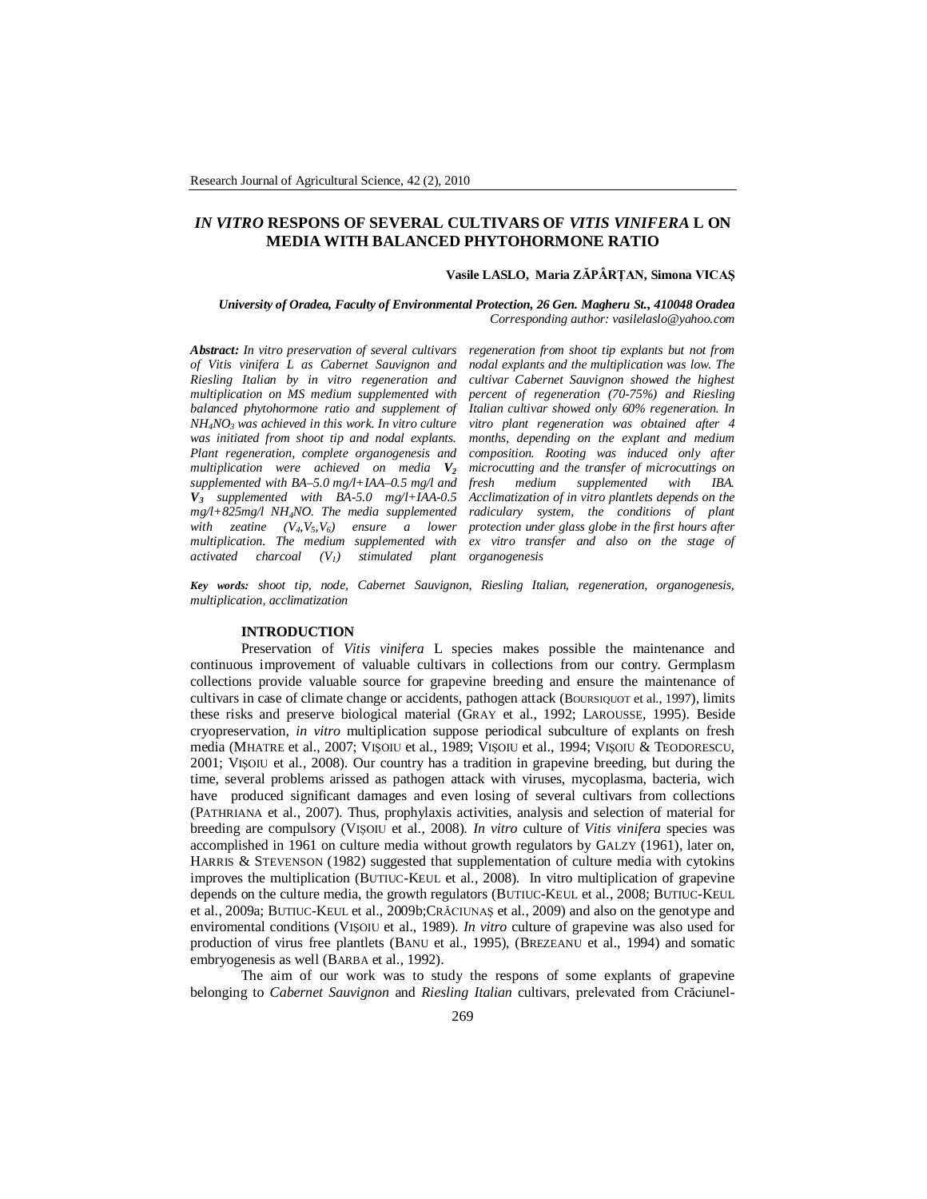# *IN VITRO* **RESPONS OF SEVERAL CULTIVARS OF** *VITIS VINIFERA* **L ON MEDIA WITH BALANCED PHYTOHORMONE RATIO**

#### **Vasile LASLO, Maria ZĂPÂRŢAN, Simona VICAŞ**

*University of Oradea, Faculty of Environmental Protection, 26 Gen. Magheru St., 410048 Oradea Corresponding author: vasilelaslo@yahoo.com*

*Abstract: In vitro preservation of several cultivars of Vitis vinifera L as Cabernet Sauvignon and Riesling Italian by in vitro regeneration and multiplication on MS medium supplemented with balanced phytohormone ratio and supplement of NH4NO3 was achieved in this work. In vitro culture was initiated from shoot tip and nodal explants. Plant regeneration, complete organogenesis and multiplication were achieved on media V<sup>2</sup> supplemented with BA–5.0 mg/l+IAA–0.5 mg/l and V3 supplemented with BA-5.0 mg/l+IAA-0.5 mg/l+825mg/l NH4NO. The media supplemented with zeatine*  $(V_4, V_5, V_6)$  *ensure a lower multiplication. The medium supplemented with activated charcoal (V1) stimulated plant organogenesis*

*regeneration from shoot tip explants but not from nodal explants and the multiplication was low. The cultivar Cabernet Sauvignon showed the highest percent of regeneration (70-75%) and Riesling Italian cultivar showed only 60% regeneration. In vitro plant regeneration was obtained after 4 months, depending on the explant and medium composition. Rooting was induced only after microcutting and the transfer of microcuttings on freedium supplemented with IBA. Acclimatization of in vitro plantlets depends on the radiculary system, the conditions of plant protection under glass globe in the first hours after ex vitro transfer and also on the stage of* 

*Key words: shoot tip, node, Cabernet Sauvignon, Riesling Italian, regeneration, organogenesis, multiplication, acclimatization*

### **INTRODUCTION**

Preservation of *Vitis vinifera* L species makes possible the maintenance and continuous improvement of valuable cultivars in collections from our contry. Germplasm collections provide valuable source for grapevine breeding and ensure the maintenance of cultivars in case of climate change or accidents, pathogen attack (BOURSIQUOT et al., 1997), limits these risks and preserve biological material (GRAY et al., 1992; LAROUSSE, 1995). Beside cryopreservation, *in vitro* multiplication suppose periodical subculture of explants on fresh media (MHATRE et al., 2007; VIŞOIU et al., 1989; VIŞOIU et al., 1994; VIŞOIU & TEODORESCU, 2001; VIŞOIU et al., 2008). Our country has a tradition in grapevine breeding, but during the time, several problems arissed as pathogen attack with viruses, mycoplasma, bacteria, wich have produced significant damages and even losing of several cultivars from collections (PATHRIANA et al., 2007). Thus, prophylaxis activities, analysis and selection of material for breeding are compulsory (VIŞOIU et al., 2008). *In vitro* culture of *Vitis vinifera* species was accomplished in 1961 on culture media without growth regulators by GALZY (1961), later on, HARRIS & STEVENSON (1982) suggested that supplementation of culture media with cytokins improves the multiplication (BUTIUC-KEUL et al., 2008). In vitro multiplication of grapevine depends on the culture media, the growth regulators (BUTIUC-KEUL et al., 2008; BUTIUC-KEUL et al., 2009a; BUTIUC-KEUL et al., 2009b;CRĂCIUNAŞ et al., 2009) and also on the genotype and enviromental conditions (VIŞOIU et al., 1989). *In vitro* culture of grapevine was also used for production of virus free plantlets (BANU et al., 1995), (BREZEANU et al., 1994) and somatic embryogenesis as well (BARBA et al., 1992).

The aim of our work was to study the respons of some explants of grapevine belonging to *Cabernet Sauvignon* and *Riesling Italian* cultivars, prelevated from Crăciunel-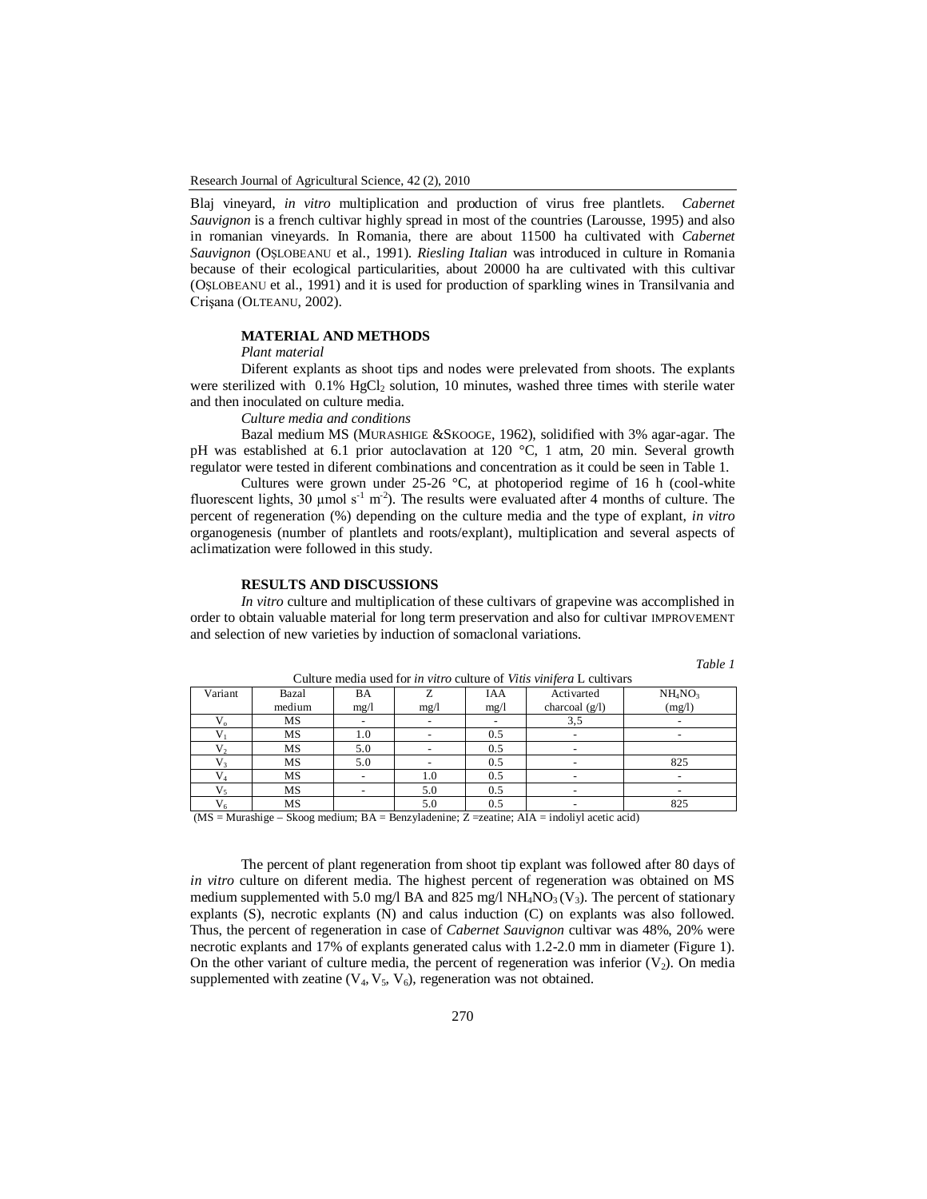Blaj vineyard, *in vitro* multiplication and production of virus free plantlets. *Cabernet Sauvignon* is a french cultivar highly spread in most of the countries (Larousse, 1995) and also in romanian vineyards. In Romania, there are about 11500 ha cultivated with *Cabernet Sauvignon* (OŞLOBEANU et al., 1991). *Riesling Italian* was introduced in culture in Romania because of their ecological particularities, about 20000 ha are cultivated with this cultivar (OŞLOBEANU et al., 1991) and it is used for production of sparkling wines in Transilvania and Crişana (OLTEANU, 2002).

#### **MATERIAL AND METHODS**

*Plant material*

Diferent explants as shoot tips and nodes were prelevated from shoots. The explants were sterilized with  $0.1\%$  HgCl<sub>2</sub> solution, 10 minutes, washed three times with sterile water and then inoculated on culture media.

*Culture media and conditions*

Bazal medium MS (MURASHIGE &SKOOGE, 1962), solidified with 3% agar-agar. The pH was established at 6.1 prior autoclavation at 120 °C, 1 atm, 20 min. Several growth regulator were tested in diferent combinations and concentration as it could be seen in Table 1.

Cultures were grown under 25-26 °C, at photoperiod regime of 16 h (cool-white fluorescent lights, 30  $\mu$ mol s<sup>-1</sup> m<sup>-2</sup>). The results were evaluated after 4 months of culture. The percent of regeneration (%) depending on the culture media and the type of explant, *in vitro* organogenesis (number of plantlets and roots/explant), multiplication and several aspects of aclimatization were followed in this study.

## **RESULTS AND DISCUSSIONS**

*In vitro* culture and multiplication of these cultivars of grapevine was accomplished in order to obtain valuable material for long term preservation and also for cultivar IMPROVEMENT and selection of new varieties by induction of somaclonal variations.

|--|

| Canaro meana asca for <i>in varo</i> canaro of <i>villis villifor</i> a L canfvars |           |      |      |            |                  |                                 |  |
|------------------------------------------------------------------------------------|-----------|------|------|------------|------------------|---------------------------------|--|
| Variant                                                                            | Bazal     | BA   |      | <b>IAA</b> | Activarted       | NH <sub>4</sub> NO <sub>3</sub> |  |
|                                                                                    | medium    | mg/1 | mg/1 | mg/1       | charcoal $(g/l)$ | (mg/l)                          |  |
| $V_{\alpha}$                                                                       | MS        |      |      |            | 3,5              |                                 |  |
|                                                                                    | MS        | 1.0  |      | 0.5        |                  |                                 |  |
|                                                                                    | MS        | 5.0  |      | 0.5        |                  |                                 |  |
|                                                                                    | MS        | 5.0  |      | 0.5        |                  | 825                             |  |
|                                                                                    | <b>MS</b> |      | 1.0  | 0.5        |                  |                                 |  |
|                                                                                    | MS        |      | 5.0  | 0.5        |                  |                                 |  |
| $V_6$                                                                              | MS        |      | 5.0  | 0.5        |                  | 825                             |  |

Culture media used for *in vitro* culture of *Vitis vinifera* L cultivars

 $(MS = Murashige - Skoog medium; BA = Benzyladenine; Z =zeatine; AIA = indoliyl acetic acid)$ 

The percent of plant regeneration from shoot tip explant was followed after 80 days of *in vitro* culture on diferent media. The highest percent of regeneration was obtained on MS medium supplemented with 5.0 mg/l BA and 825 mg/l  $NH_4NO_3$  (V<sub>3</sub>). The percent of stationary explants (S), necrotic explants (N) and calus induction (C) on explants was also followed. Thus, the percent of regeneration in case of *Cabernet Sauvignon* cultivar was 48%, 20% were necrotic explants and 17% of explants generated calus with 1.2-2.0 mm in diameter (Figure 1). On the other variant of culture media, the percent of regeneration was inferior  $(V_2)$ . On media supplemented with zeatine  $(V_4, V_5, V_6)$ , regeneration was not obtained.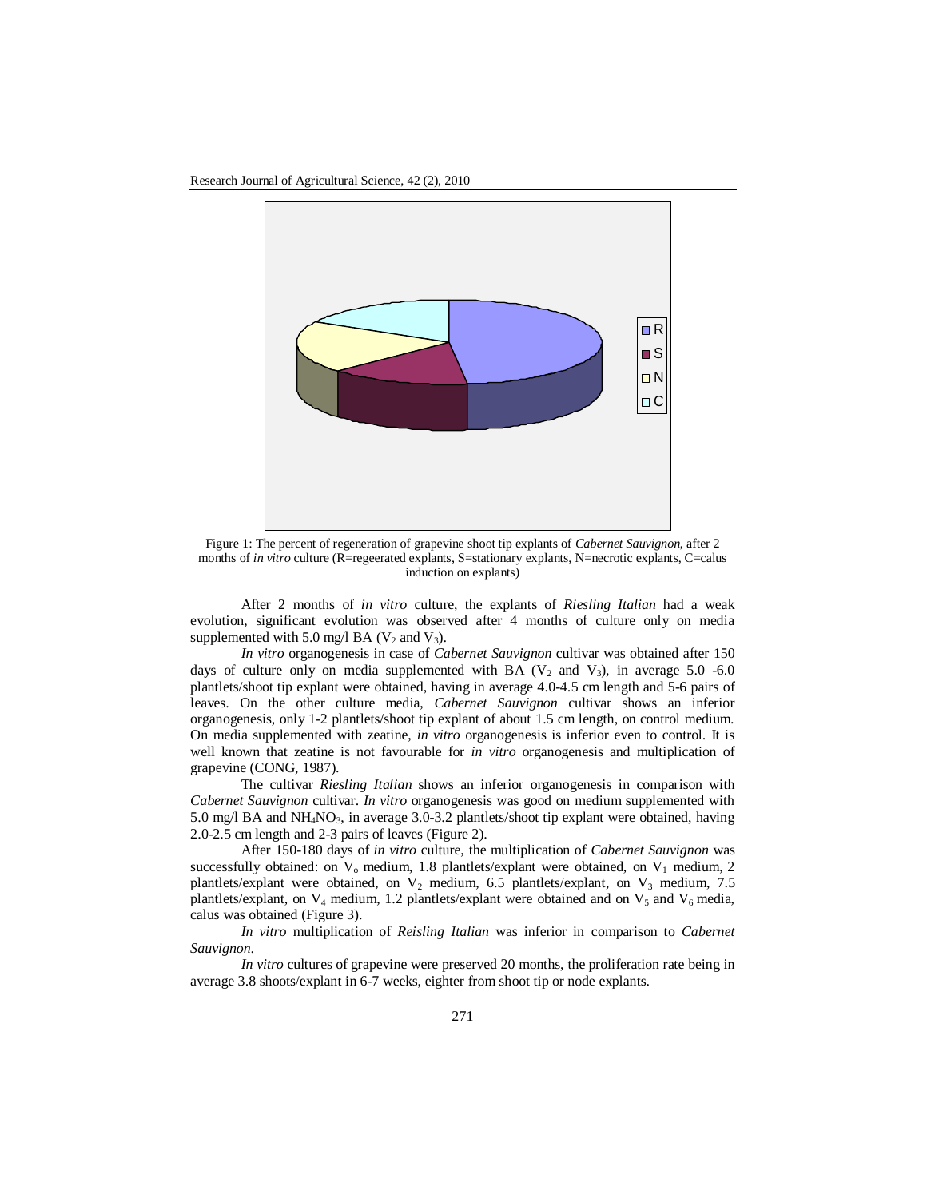

Figure 1: The percent of regeneration of grapevine shoot tip explants of *Cabernet Sauvignon*, after 2 months of *in vitro* culture (R=regeerated explants, S=stationary explants, N=necrotic explants, C=calus induction on explants)

After 2 months of *in vitro* culture, the explants of *Riesling Italian* had a weak evolution, significant evolution was observed after 4 months of culture only on media supplemented with 5.0 mg/l BA ( $V_2$  and  $V_3$ ).

*In vitro* organogenesis in case of *Cabernet Sauvignon* cultivar was obtained after 150 days of culture only on media supplemented with BA ( $V_2$  and  $V_3$ ), in average 5.0 -6.0 plantlets/shoot tip explant were obtained, having in average 4.0-4.5 cm length and 5-6 pairs of leaves. On the other culture media, *Cabernet Sauvignon* cultivar shows an inferior organogenesis, only 1-2 plantlets/shoot tip explant of about 1.5 cm length, on control medium. On media supplemented with zeatine, *in vitro* organogenesis is inferior even to control. It is well known that zeatine is not favourable for *in vitro* organogenesis and multiplication of grapevine (CONG, 1987).

The cultivar *Riesling Italian* shows an inferior organogenesis in comparison with *Cabernet Sauvignon* cultivar. *In vitro* organogenesis was good on medium supplemented with 5.0 mg/l BA and NH<sub>4</sub>NO<sub>3</sub>, in average 3.0-3.2 plantlets/shoot tip explant were obtained, having 2.0-2.5 cm length and 2-3 pairs of leaves (Figure 2).

After 150-180 days of *in vitro* culture, the multiplication of *Cabernet Sauvignon* was successfully obtained: on  $V_0$  medium, 1.8 plantlets/explant were obtained, on  $V_1$  medium, 2 plantlets/explant were obtained, on  $V_2$  medium, 6.5 plantlets/explant, on  $V_3$  medium, 7.5 plantlets/explant, on  $V_4$  medium, 1.2 plantlets/explant were obtained and on  $V_5$  and  $V_6$  media, calus was obtained (Figure 3).

*In vitro* multiplication of *Reisling Italian* was inferior in comparison to *Cabernet Sauvignon*.

*In vitro* cultures of grapevine were preserved 20 months, the proliferation rate being in average 3.8 shoots/explant in 6-7 weeks, eighter from shoot tip or node explants.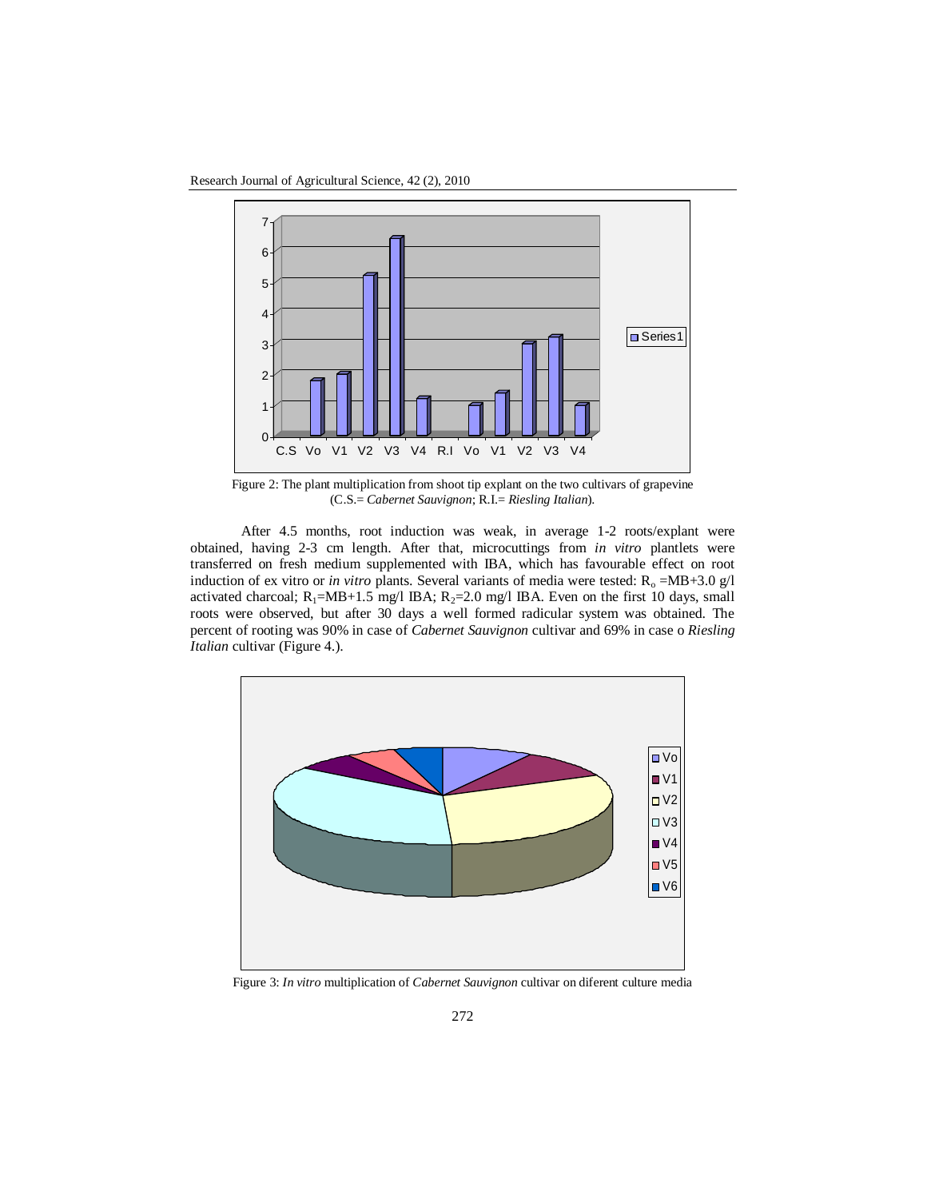Research Journal of Agricultural Science, 42 (2), 2010



Figure 2: The plant multiplication from shoot tip explant on the two cultivars of grapevine (C.S.= *Cabernet Sauvignon*; R.I.= *Riesling Italian*).

After 4.5 months, root induction was weak, in average 1-2 roots/explant were obtained, having 2-3 cm length. After that, microcuttings from *in vitro* plantlets were transferred on fresh medium supplemented with IBA, which has favourable effect on root induction of ex vitro or *in vitro* plants. Several variants of media were tested: R<sub>o</sub> =MB+3.0 g/l activated charcoal;  $R_1$ =MB+1.5 mg/l IBA;  $R_2$ =2.0 mg/l IBA. Even on the first 10 days, small roots were observed, but after 30 days a well formed radicular system was obtained. The percent of rooting was 90% in case of *Cabernet Sauvignon* cultivar and 69% in case o *Riesling Italian* cultivar (Figure 4.).



Figure 3: *In vitro* multiplication of *Cabernet Sauvignon* cultivar on diferent culture media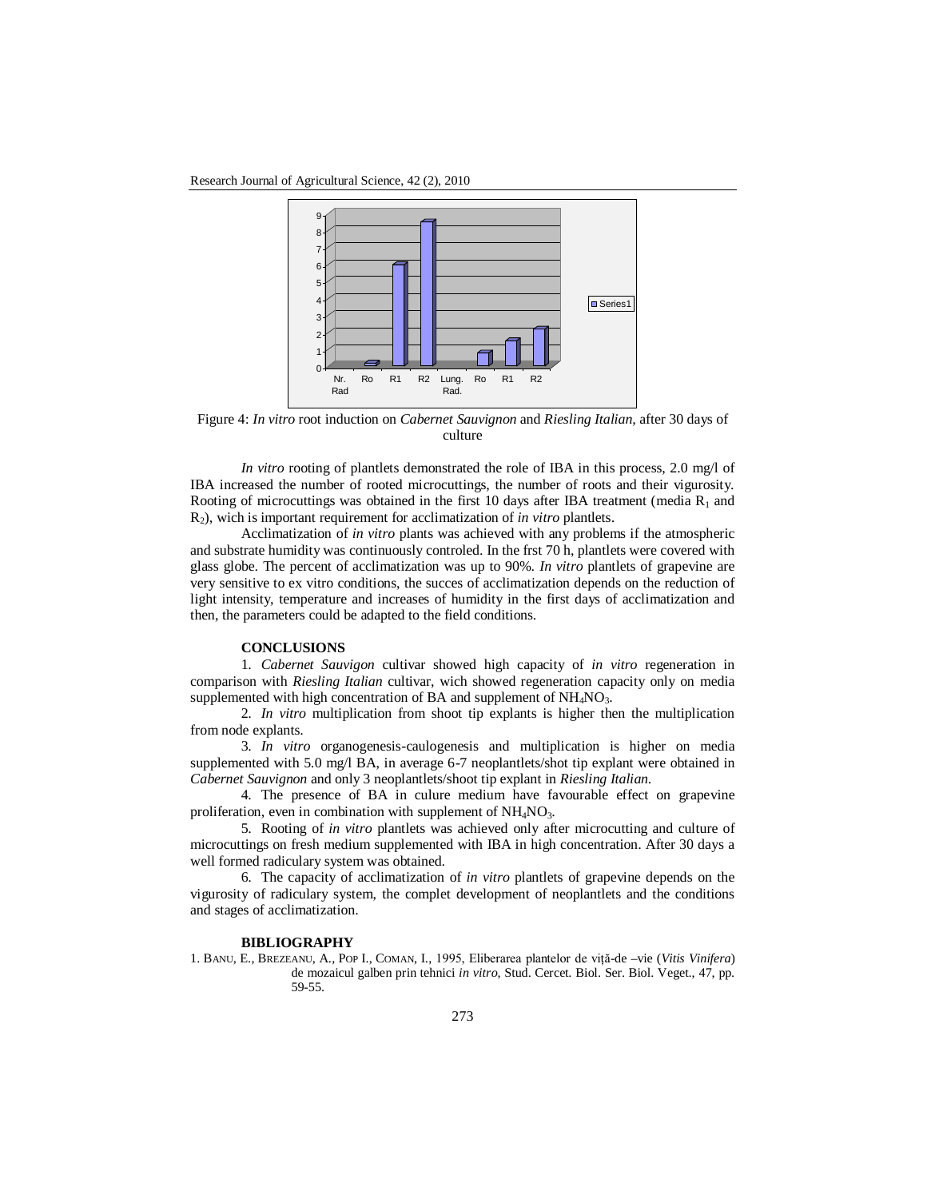Research Journal of Agricultural Science, 42 (2), 2010



Figure 4: *In vitro* root induction on *Cabernet Sauvignon* and *Riesling Italian,* after 30 days of culture

*In vitro* rooting of plantlets demonstrated the role of IBA in this process, 2.0 mg/l of IBA increased the number of rooted microcuttings, the number of roots and their vigurosity. Rooting of microcuttings was obtained in the first 10 days after IBA treatment (media  $R_1$  and R2), wich is important requirement for acclimatization of *in vitro* plantlets.

Acclimatization of *in vitro* plants was achieved with any problems if the atmospheric and substrate humidity was continuously controled. In the frst 70 h, plantlets were covered with glass globe. The percent of acclimatization was up to 90%. *In vitro* plantlets of grapevine are very sensitive to ex vitro conditions, the succes of acclimatization depends on the reduction of light intensity, temperature and increases of humidity in the first days of acclimatization and then, the parameters could be adapted to the field conditions.

## **CONCLUSIONS**

1. *Cabernet Sauvigon* cultivar showed high capacity of *in vitro* regeneration in comparison with *Riesling Italian* cultivar, wich showed regeneration capacity only on media supplemented with high concentration of BA and supplement of NH<sub>4</sub>NO<sub>3</sub>.

2. *In vitro* multiplication from shoot tip explants is higher then the multiplication from node explants.

3. *In vitro* organogenesis-caulogenesis and multiplication is higher on media supplemented with 5.0 mg/l BA, in average 6-7 neoplantlets/shot tip explant were obtained in *Cabernet Sauvignon* and only 3 neoplantlets/shoot tip explant in *Riesling Italian*.

4. The presence of BA in culure medium have favourable effect on grapevine proliferation, even in combination with supplement of  $NH<sub>4</sub>NO<sub>3</sub>$ .

5. Rooting of *in vitro* plantlets was achieved only after microcutting and culture of microcuttings on fresh medium supplemented with IBA in high concentration. After 30 days a well formed radiculary system was obtained.

6. The capacity of acclimatization of *in vitro* plantlets of grapevine depends on the vigurosity of radiculary system, the complet development of neoplantlets and the conditions and stages of acclimatization.

#### **BIBLIOGRAPHY**

1. BANU, E., BREZEANU, A., POP I., COMAN, I., 1995, Eliberarea plantelor de viţă-de –vie (*Vitis Vinifera*) de mozaicul galben prin tehnici *in vitro*, Stud. Cercet. Biol. Ser. Biol. Veget., 47, pp. 59-55.